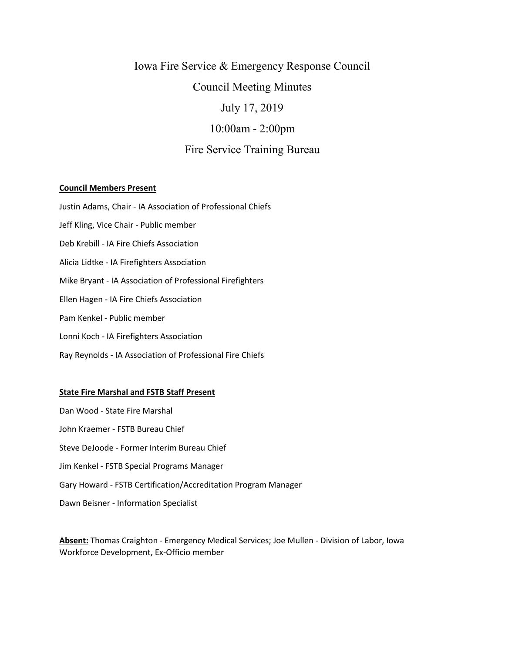# Iowa Fire Service & Emergency Response Council Council Meeting Minutes July 17, 2019 10:00am - 2:00pm Fire Service Training Bureau

## **Council Members Present**

Justin Adams, Chair - IA Association of Professional Chiefs

Jeff Kling, Vice Chair - Public member

Deb Krebill - IA Fire Chiefs Association

Alicia Lidtke - IA Firefighters Association

Mike Bryant - IA Association of Professional Firefighters

Ellen Hagen - IA Fire Chiefs Association

Pam Kenkel - Public member

Lonni Koch - IA Firefighters Association

Ray Reynolds - IA Association of Professional Fire Chiefs

### **State Fire Marshal and FSTB Staff Present**

Dan Wood - State Fire Marshal John Kraemer - FSTB Bureau Chief Steve DeJoode - Former Interim Bureau Chief Jim Kenkel - FSTB Special Programs Manager Gary Howard - FSTB Certification/Accreditation Program Manager Dawn Beisner - Information Specialist

**Absent:** Thomas Craighton - Emergency Medical Services; Joe Mullen - Division of Labor, Iowa Workforce Development, Ex-Officio member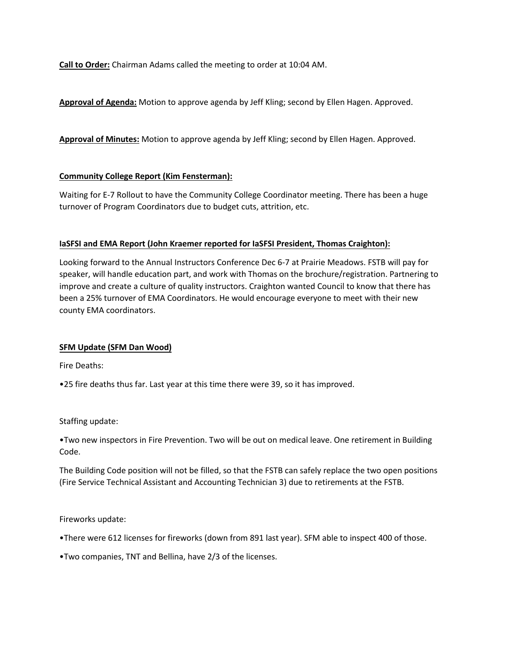**Call to Order:** Chairman Adams called the meeting to order at 10:04 AM.

**Approval of Agenda:** Motion to approve agenda by Jeff Kling; second by Ellen Hagen. Approved.

**Approval of Minutes:** Motion to approve agenda by Jeff Kling; second by Ellen Hagen. Approved.

# **Community College Report (Kim Fensterman):**

Waiting for E-7 Rollout to have the Community College Coordinator meeting. There has been a huge turnover of Program Coordinators due to budget cuts, attrition, etc.

# **IaSFSI and EMA Report (John Kraemer reported for IaSFSI President, Thomas Craighton):**

Looking forward to the Annual Instructors Conference Dec 6-7 at Prairie Meadows. FSTB will pay for speaker, will handle education part, and work with Thomas on the brochure/registration. Partnering to improve and create a culture of quality instructors. Craighton wanted Council to know that there has been a 25% turnover of EMA Coordinators. He would encourage everyone to meet with their new county EMA coordinators.

# **SFM Update (SFM Dan Wood)**

Fire Deaths:

•25 fire deaths thus far. Last year at this time there were 39, so it has improved.

Staffing update:

•Two new inspectors in Fire Prevention. Two will be out on medical leave. One retirement in Building Code.

The Building Code position will not be filled, so that the FSTB can safely replace the two open positions (Fire Service Technical Assistant and Accounting Technician 3) due to retirements at the FSTB.

Fireworks update:

•There were 612 licenses for fireworks (down from 891 last year). SFM able to inspect 400 of those.

•Two companies, TNT and Bellina, have 2/3 of the licenses.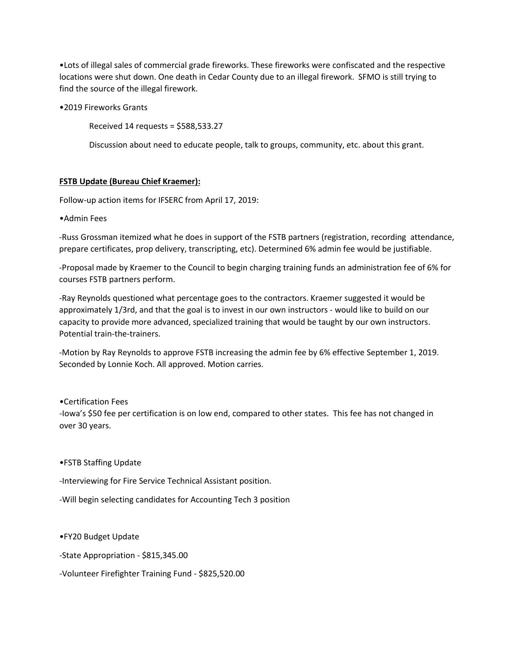•Lots of illegal sales of commercial grade fireworks. These fireworks were confiscated and the respective locations were shut down. One death in Cedar County due to an illegal firework. SFMO is still trying to find the source of the illegal firework.

•2019 Fireworks Grants

Received 14 requests = \$588,533.27

Discussion about need to educate people, talk to groups, community, etc. about this grant.

# **FSTB Update (Bureau Chief Kraemer):**

Follow-up action items for IFSERC from April 17, 2019:

•Admin Fees

-Russ Grossman itemized what he does in support of the FSTB partners (registration, recording attendance, prepare certificates, prop delivery, transcripting, etc). Determined 6% admin fee would be justifiable.

-Proposal made by Kraemer to the Council to begin charging training funds an administration fee of 6% for courses FSTB partners perform.

-Ray Reynolds questioned what percentage goes to the contractors. Kraemer suggested it would be approximately 1/3rd, and that the goal is to invest in our own instructors - would like to build on our capacity to provide more advanced, specialized training that would be taught by our own instructors. Potential train-the-trainers.

-Motion by Ray Reynolds to approve FSTB increasing the admin fee by 6% effective September 1, 2019. Seconded by Lonnie Koch. All approved. Motion carries.

•Certification Fees

-Iowa's \$50 fee per certification is on low end, compared to other states. This fee has not changed in over 30 years.

•FSTB Staffing Update

-Interviewing for Fire Service Technical Assistant position.

-Will begin selecting candidates for Accounting Tech 3 position

•FY20 Budget Update

-State Appropriation - \$815,345.00

-Volunteer Firefighter Training Fund - \$825,520.00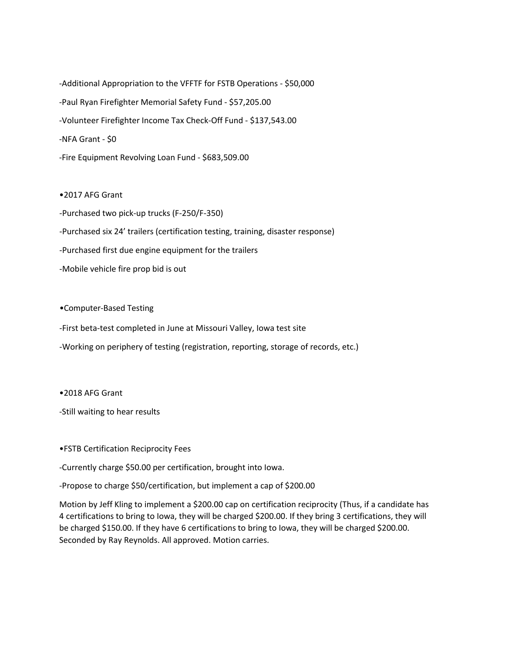-Additional Appropriation to the VFFTF for FSTB Operations - \$50,000 -Paul Ryan Firefighter Memorial Safety Fund - \$57,205.00 -Volunteer Firefighter Income Tax Check-Off Fund - \$137,543.00 -NFA Grant - \$0 -Fire Equipment Revolving Loan Fund - \$683,509.00

•2017 AFG Grant

-Purchased two pick-up trucks (F-250/F-350)

-Purchased six 24' trailers (certification testing, training, disaster response)

-Purchased first due engine equipment for the trailers

-Mobile vehicle fire prop bid is out

•Computer-Based Testing

-First beta-test completed in June at Missouri Valley, Iowa test site

-Working on periphery of testing (registration, reporting, storage of records, etc.)

•2018 AFG Grant

-Still waiting to hear results

•FSTB Certification Reciprocity Fees

-Currently charge \$50.00 per certification, brought into Iowa.

-Propose to charge \$50/certification, but implement a cap of \$200.00

Motion by Jeff Kling to implement a \$200.00 cap on certification reciprocity (Thus, if a candidate has 4 certifications to bring to Iowa, they will be charged \$200.00. If they bring 3 certifications, they will be charged \$150.00. If they have 6 certifications to bring to Iowa, they will be charged \$200.00. Seconded by Ray Reynolds. All approved. Motion carries.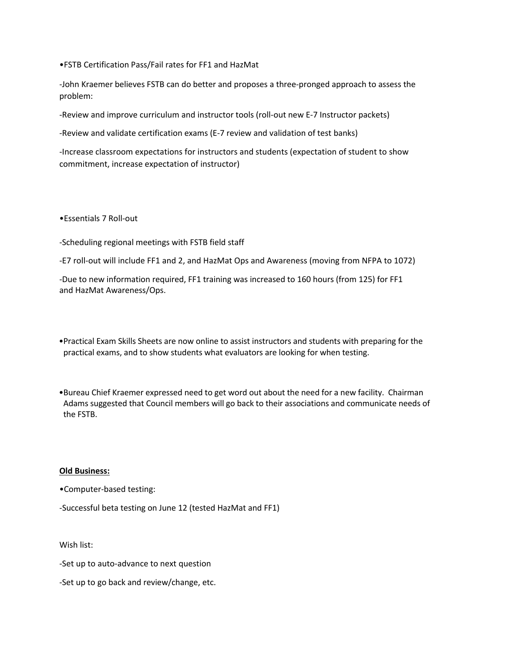•FSTB Certification Pass/Fail rates for FF1 and HazMat

-John Kraemer believes FSTB can do better and proposes a three-pronged approach to assess the problem:

-Review and improve curriculum and instructor tools (roll-out new E-7 Instructor packets)

-Review and validate certification exams (E-7 review and validation of test banks)

-Increase classroom expectations for instructors and students (expectation of student to show commitment, increase expectation of instructor)

•Essentials 7 Roll-out

-Scheduling regional meetings with FSTB field staff

-E7 roll-out will include FF1 and 2, and HazMat Ops and Awareness (moving from NFPA to 1072)

-Due to new information required, FF1 training was increased to 160 hours (from 125) for FF1 and HazMat Awareness/Ops.

- •Practical Exam Skills Sheets are now online to assist instructors and students with preparing for the practical exams, and to show students what evaluators are looking for when testing.
- •Bureau Chief Kraemer expressed need to get word out about the need for a new facility. Chairman Adams suggested that Council members will go back to their associations and communicate needs of the FSTB.

### **Old Business:**

•Computer-based testing:

-Successful beta testing on June 12 (tested HazMat and FF1)

Wish list:

-Set up to auto-advance to next question

-Set up to go back and review/change, etc.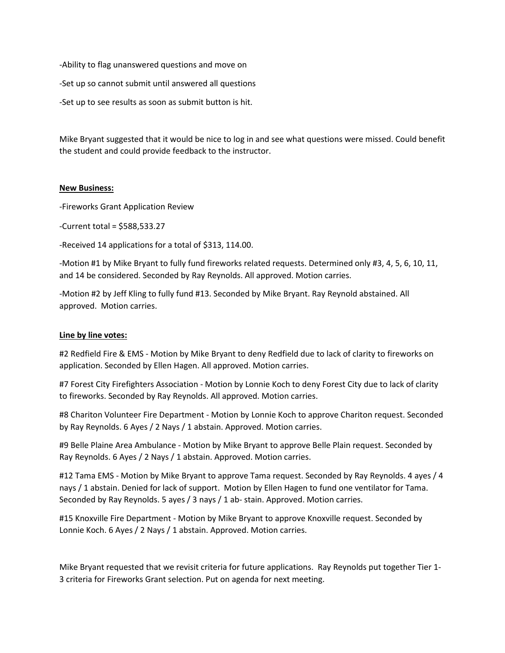-Ability to flag unanswered questions and move on

-Set up so cannot submit until answered all questions

-Set up to see results as soon as submit button is hit.

Mike Bryant suggested that it would be nice to log in and see what questions were missed. Could benefit the student and could provide feedback to the instructor.

## **New Business:**

-Fireworks Grant Application Review

-Current total = \$588,533.27

-Received 14 applications for a total of \$313, 114.00.

-Motion #1 by Mike Bryant to fully fund fireworks related requests. Determined only #3, 4, 5, 6, 10, 11, and 14 be considered. Seconded by Ray Reynolds. All approved. Motion carries.

-Motion #2 by Jeff Kling to fully fund #13. Seconded by Mike Bryant. Ray Reynold abstained. All approved. Motion carries.

# **Line by line votes:**

#2 Redfield Fire & EMS - Motion by Mike Bryant to deny Redfield due to lack of clarity to fireworks on application. Seconded by Ellen Hagen. All approved. Motion carries.

#7 Forest City Firefighters Association - Motion by Lonnie Koch to deny Forest City due to lack of clarity to fireworks. Seconded by Ray Reynolds. All approved. Motion carries.

#8 Chariton Volunteer Fire Department - Motion by Lonnie Koch to approve Chariton request. Seconded by Ray Reynolds. 6 Ayes / 2 Nays / 1 abstain. Approved. Motion carries.

#9 Belle Plaine Area Ambulance - Motion by Mike Bryant to approve Belle Plain request. Seconded by Ray Reynolds. 6 Ayes / 2 Nays / 1 abstain. Approved. Motion carries.

#12 Tama EMS - Motion by Mike Bryant to approve Tama request. Seconded by Ray Reynolds. 4 ayes / 4 nays / 1 abstain. Denied for lack of support. Motion by Ellen Hagen to fund one ventilator for Tama. Seconded by Ray Reynolds. 5 ayes / 3 nays / 1 ab- stain. Approved. Motion carries.

#15 Knoxville Fire Department - Motion by Mike Bryant to approve Knoxville request. Seconded by Lonnie Koch. 6 Ayes / 2 Nays / 1 abstain. Approved. Motion carries.

Mike Bryant requested that we revisit criteria for future applications. Ray Reynolds put together Tier 1- 3 criteria for Fireworks Grant selection. Put on agenda for next meeting.